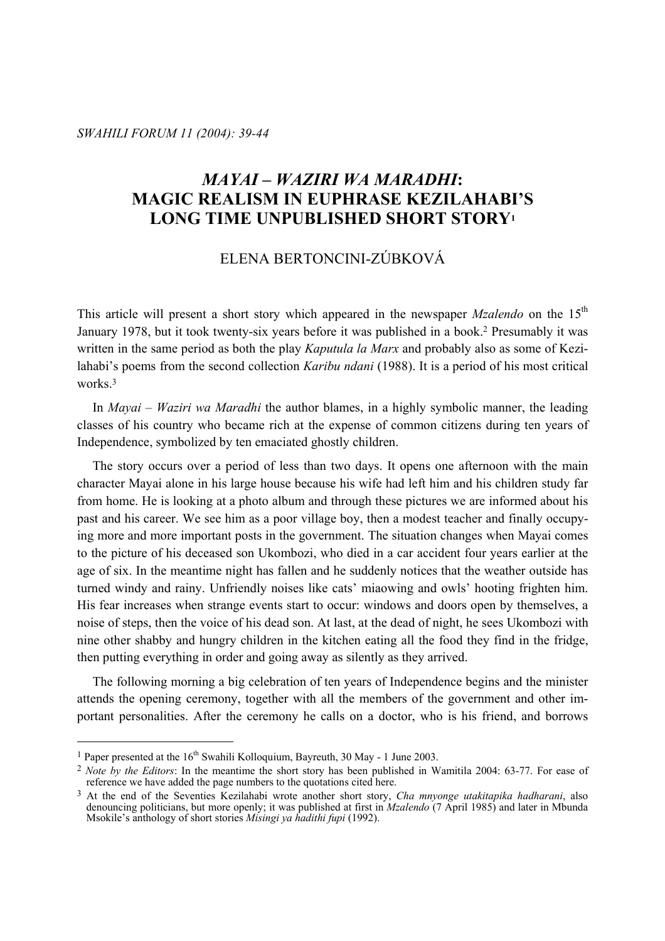*SWAHILI FORUM 11 (2004): 39-44* 

# *MAYAI – WAZIRI WA MARADHI***: MAGIC REALISM IN EUPHRASE KEZILAHABI'S LONG TIME UNPUBLISHED SHORT STORY1**

# ELENA BERTONCINI-ZÚBKOVÁ

This article will present a short story which appeared in the newspaper *Mzalendo* on the 15<sup>th</sup> January 1978, but it took twenty-six years before it was published in a book.2 Presumably it was written in the same period as both the play *Kaputula la Marx* and probably also as some of Kezilahabi's poems from the second collection *Karibu ndani* (1988). It is a period of his most critical works<sup>3</sup>

 In *Mayai – Waziri wa Maradhi* the author blames, in a highly symbolic manner, the leading classes of his country who became rich at the expense of common citizens during ten years of Independence, symbolized by ten emaciated ghostly children.

 The story occurs over a period of less than two days. It opens one afternoon with the main character Mayai alone in his large house because his wife had left him and his children study far from home. He is looking at a photo album and through these pictures we are informed about his past and his career. We see him as a poor village boy, then a modest teacher and finally occupying more and more important posts in the government. The situation changes when Mayai comes to the picture of his deceased son Ukombozi, who died in a car accident four years earlier at the age of six. In the meantime night has fallen and he suddenly notices that the weather outside has turned windy and rainy. Unfriendly noises like cats' miaowing and owls' hooting frighten him. His fear increases when strange events start to occur: windows and doors open by themselves, a noise of steps, then the voice of his dead son. At last, at the dead of night, he sees Ukombozi with nine other shabby and hungry children in the kitchen eating all the food they find in the fridge, then putting everything in order and going away as silently as they arrived.

 The following morning a big celebration of ten years of Independence begins and the minister attends the opening ceremony, together with all the members of the government and other important personalities. After the ceremony he calls on a doctor, who is his friend, and borrows

<sup>&</sup>lt;sup>1</sup> Paper presented at the  $16<sup>th</sup>$  Swahili Kolloquium, Bayreuth, 30 May - 1 June 2003.

<sup>2</sup> *Note by the Editors*: In the meantime the short story has been published in Wamitila 2004: 63-77. For ease of reference we have added the page numbers to the quotations cited here.

<sup>3</sup> At the end of the Seventies Kezilahabi wrote another short story, *Cha mnyonge utakitapika hadharani*, also denouncing politicians, but more openly; it was published at first in *Mzalendo* (7 April 1985) and later in Mbunda Msokile's anthology of short stories *Misingi ya hadithi fupi* (1992).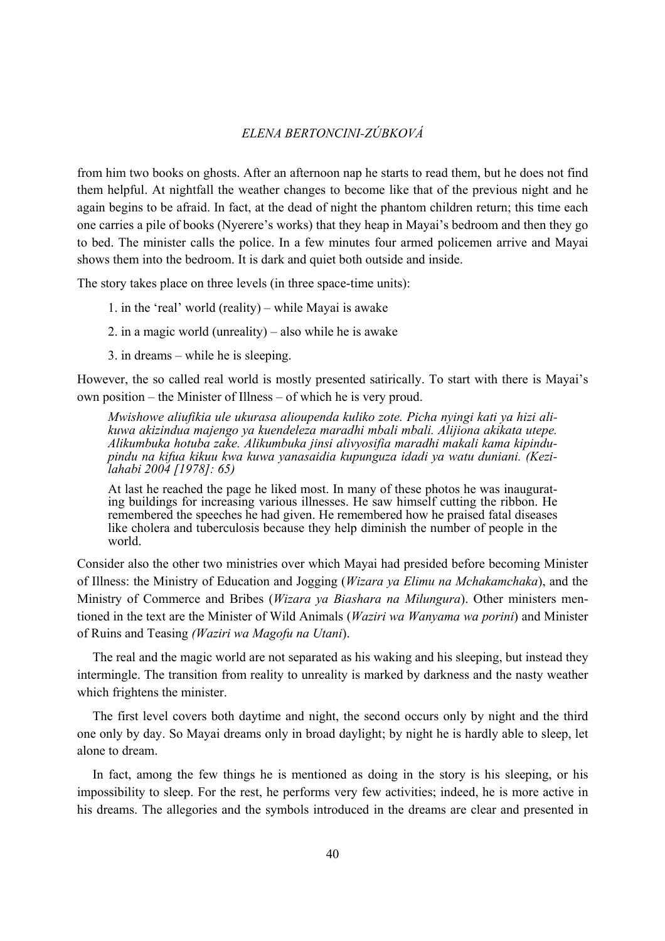#### *ELENA BERTONCINI-ZÚBKOVÁ*

from him two books on ghosts. After an afternoon nap he starts to read them, but he does not find them helpful. At nightfall the weather changes to become like that of the previous night and he again begins to be afraid. In fact, at the dead of night the phantom children return; this time each one carries a pile of books (Nyerere's works) that they heap in Mayai's bedroom and then they go to bed. The minister calls the police. In a few minutes four armed policemen arrive and Mayai shows them into the bedroom. It is dark and quiet both outside and inside.

The story takes place on three levels (in three space-time units):

- 1. in the 'real' world (reality) while Mayai is awake
- 2. in a magic world (unreality) also while he is awake
- 3. in dreams while he is sleeping.

However, the so called real world is mostly presented satirically. To start with there is Mayai's own position – the Minister of Illness – of which he is very proud.

*Mwishowe aliufikia ule ukurasa alioupenda kuliko zote. Picha nyingi kati ya hizi alikuwa akizindua majengo ya kuendeleza maradhi mbali mbali. Alijiona akikata utepe. Alikumbuka hotuba zake. Alikumbuka jinsi alivyosifia maradhi makali kama kipindupindu na kifua kikuu kwa kuwa yanasaidia kupunguza idadi ya watu duniani. (Kezilahabi 2004 [1978]: 65)* 

At last he reached the page he liked most. In many of these photos he was inaugurating buildings for increasing various illnesses. He saw himself cutting the ribbon. He remembered the speeches he had given. He remembered how he praised fatal diseases like cholera and tuberculosis because they help diminish the number of people in the world.

Consider also the other two ministries over which Mayai had presided before becoming Minister of Illness: the Ministry of Education and Jogging (*Wizara ya Elimu na Mchakamchaka*), and the Ministry of Commerce and Bribes (*Wizara ya Biashara na Milungura*). Other ministers mentioned in the text are the Minister of Wild Animals (*Waziri wa Wanyama wa porini*) and Minister of Ruins and Teasing *(Waziri wa Magofu na Utani*).

 The real and the magic world are not separated as his waking and his sleeping, but instead they intermingle. The transition from reality to unreality is marked by darkness and the nasty weather which frightens the minister.

 The first level covers both daytime and night, the second occurs only by night and the third one only by day. So Mayai dreams only in broad daylight; by night he is hardly able to sleep, let alone to dream.

 In fact, among the few things he is mentioned as doing in the story is his sleeping, or his impossibility to sleep. For the rest, he performs very few activities; indeed, he is more active in his dreams. The allegories and the symbols introduced in the dreams are clear and presented in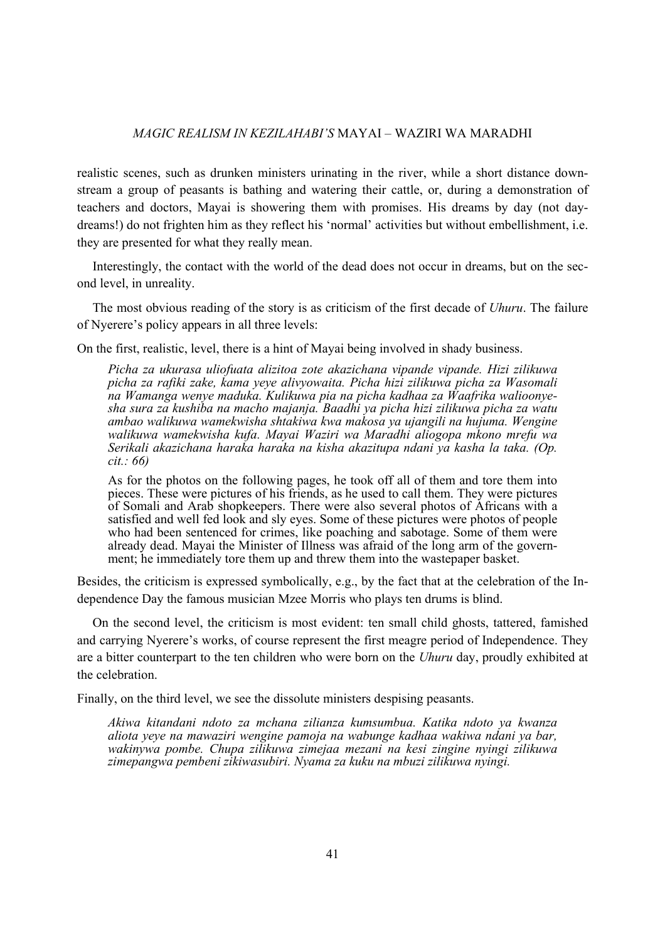#### *MAGIC REALISM IN KEZILAHABI'S* MAYAI – WAZIRI WA MARADHI

realistic scenes, such as drunken ministers urinating in the river, while a short distance downstream a group of peasants is bathing and watering their cattle, or, during a demonstration of teachers and doctors, Mayai is showering them with promises. His dreams by day (not daydreams!) do not frighten him as they reflect his 'normal' activities but without embellishment, i.e. they are presented for what they really mean.

 Interestingly, the contact with the world of the dead does not occur in dreams, but on the second level, in unreality.

 The most obvious reading of the story is as criticism of the first decade of *Uhuru*. The failure of Nyerere's policy appears in all three levels:

On the first, realistic, level, there is a hint of Mayai being involved in shady business.

*Picha za ukurasa uliofuata alizitoa zote akazichana vipande vipande. Hizi zilikuwa picha za rafiki zake, kama yeye alivyowaita. Picha hizi zilikuwa picha za Wasomali na Wamanga wenye maduka. Kulikuwa pia na picha kadhaa za Waafrika walioonyesha sura za kushiba na macho majanja. Baadhi ya picha hizi zilikuwa picha za watu ambao walikuwa wamekwisha shtakiwa kwa makosa ya ujangili na hujuma. Wengine walikuwa wamekwisha kufa. Mayai Waziri wa Maradhi aliogopa mkono mrefu wa Serikali akazichana haraka haraka na kisha akazitupa ndani ya kasha la taka. (Op. cit.: 66)* 

As for the photos on the following pages, he took off all of them and tore them into pieces. These were pictures of his friends, as he used to call them. They were pictures of Somali and Arab shopkeepers. There were also several photos of Africans with a satisfied and well fed look and sly eyes. Some of these pictures were photos of people who had been sentenced for crimes. like poaching and sabotage. Some of them were already dead. Mayai the Minister of Illness was afraid of the long arm of the government; he immediately tore them up and threw them into the wastepaper basket.

Besides, the criticism is expressed symbolically, e.g., by the fact that at the celebration of the Independence Day the famous musician Mzee Morris who plays ten drums is blind.

 On the second level, the criticism is most evident: ten small child ghosts, tattered, famished and carrying Nyerere's works, of course represent the first meagre period of Independence. They are a bitter counterpart to the ten children who were born on the *Uhuru* day, proudly exhibited at the celebration.

Finally, on the third level, we see the dissolute ministers despising peasants.

*Akiwa kitandani ndoto za mchana zilianza kumsumbua. Katika ndoto ya kwanza aliota yeye na mawaziri wengine pamoja na wabunge kadhaa wakiwa ndani ya bar, wakinywa pombe. Chupa zilikuwa zimejaa mezani na kesi zingine nyingi zilikuwa zimepangwa pembeni zikiwasubiri. Nyama za kuku na mbuzi zilikuwa nyingi.*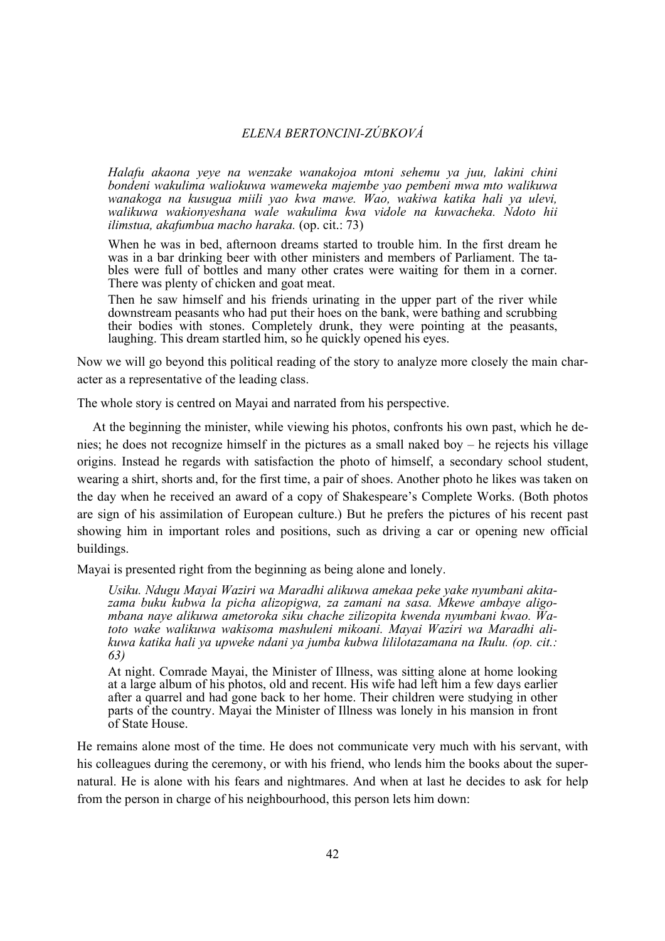#### *ELENA BERTONCINI-ZÚBKOVÁ*

*Halafu akaona yeye na wenzake wanakojoa mtoni sehemu ya juu, lakini chini bondeni wakulima waliokuwa wameweka majembe yao pembeni mwa mto walikuwa wanakoga na kusugua miili yao kwa mawe. Wao, wakiwa katika hali ya ulevi, walikuwa wakionyeshana wale wakulima kwa vidole na kuwacheka. Ndoto hii ilimstua, akafumbua macho haraka.* (op. cit.: 73)

When he was in bed, afternoon dreams started to trouble him. In the first dream he was in a bar drinking beer with other ministers and members of Parliament. The tables were full of bottles and many other crates were waiting for them in a corner. There was plenty of chicken and goat meat.

Then he saw himself and his friends urinating in the upper part of the river while downstream peasants who had put their hoes on the bank, were bathing and scrubbing their bodies with stones. Completely drunk, they were pointing at the peasants, laughing. This dream startled him, so he quickly opened his eyes.

Now we will go beyond this political reading of the story to analyze more closely the main character as a representative of the leading class.

The whole story is centred on Mayai and narrated from his perspective.

 At the beginning the minister, while viewing his photos, confronts his own past, which he denies; he does not recognize himself in the pictures as a small naked boy – he rejects his village origins. Instead he regards with satisfaction the photo of himself, a secondary school student, wearing a shirt, shorts and, for the first time, a pair of shoes. Another photo he likes was taken on the day when he received an award of a copy of Shakespeare's Complete Works. (Both photos are sign of his assimilation of European culture.) But he prefers the pictures of his recent past showing him in important roles and positions, such as driving a car or opening new official buildings.

Mayai is presented right from the beginning as being alone and lonely.

*Usiku. Ndugu Mayai Waziri wa Maradhi alikuwa amekaa peke yake nyumbani akitazama buku kubwa la picha alizopigwa, za zamani na sasa. Mkewe ambaye aligombana naye alikuwa ametoroka siku chache zilizopita kwenda nyumbani kwao. Watoto wake walikuwa wakisoma mashuleni mikoani. Mayai Waziri wa Maradhi alikuwa katika hali ya upweke ndani ya jumba kubwa lililotazamana na Ikulu. (op. cit.: 63)* 

At night. Comrade Mayai, the Minister of Illness, was sitting alone at home looking at a large album of his photos, old and recent. His wife had left him a few days earlier after a quarrel and had gone back to her home. Their children were studying in other parts of the country. Mayai the Minister of Illness was lonely in his mansion in front of State House.

He remains alone most of the time. He does not communicate very much with his servant, with his colleagues during the ceremony, or with his friend, who lends him the books about the supernatural. He is alone with his fears and nightmares. And when at last he decides to ask for help from the person in charge of his neighbourhood, this person lets him down: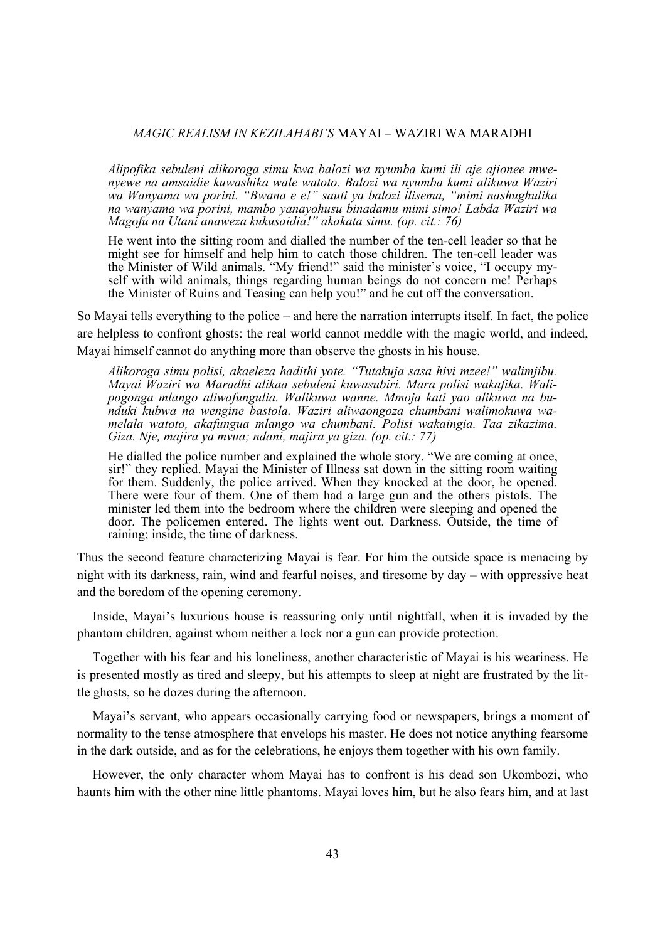#### *MAGIC REALISM IN KEZILAHABI'S* MAYAI – WAZIRI WA MARADHI

*Alipofika sebuleni alikoroga simu kwa balozi wa nyumba kumi ili aje ajionee mwenyewe na amsaidie kuwashika wale watoto. Balozi wa nyumba kumi alikuwa Waziri wa Wanyama wa porini. "Bwana e e!" sauti ya balozi ilisema, "mimi nashughulika na wanyama wa porini, mambo yanayohusu binadamu mimi simo! Labda Waziri wa Magofu na Utani anaweza kukusaidia!" akakata simu. (op. cit.: 76)* 

He went into the sitting room and dialled the number of the ten-cell leader so that he might see for himself and help him to catch those children. The ten-cell leader was the Minister of Wild animals. "My friend!" said the minister's voice, "I occupy myself with wild animals, things regarding human beings do not concern me! Perhaps the Minister of Ruins and Teasing can help you!" and he cut off the conversation.

So Mayai tells everything to the police – and here the narration interrupts itself. In fact, the police are helpless to confront ghosts: the real world cannot meddle with the magic world, and indeed, Mayai himself cannot do anything more than observe the ghosts in his house.

*Alikoroga simu polisi, akaeleza hadithi yote. "Tutakuja sasa hivi mzee!" walimjibu. Mayai Waziri wa Maradhi alikaa sebuleni kuwasubiri. Mara polisi wakafika. Walipogonga mlango aliwafungulia. Walikuwa wanne. Mmoja kati yao alikuwa na bunduki kubwa na wengine bastola. Waziri aliwaongoza chumbani walimokuwa wamelala watoto, akafungua mlango wa chumbani. Polisi wakaingia. Taa zikazima. Giza. Nje, majira ya mvua; ndani, majira ya giza. (op. cit.: 77)* 

He dialled the police number and explained the whole story. "We are coming at once, sir!" they replied. Mayai the Minister of Illness sat down in the sitting room waiting for them. Suddenly, the police arrived. When they knocked at the door, he opened. There were four of them. One of them had a large gun and the others pistols. The minister led them into the bedroom where the children were sleeping and opened the door. The policemen entered. The lights went out. Darkness. Outside, the time of raining; inside, the time of darkness.

Thus the second feature characterizing Mayai is fear. For him the outside space is menacing by night with its darkness, rain, wind and fearful noises, and tiresome by day – with oppressive heat and the boredom of the opening ceremony.

 Inside, Mayai's luxurious house is reassuring only until nightfall, when it is invaded by the phantom children, against whom neither a lock nor a gun can provide protection.

 Together with his fear and his loneliness, another characteristic of Mayai is his weariness. He is presented mostly as tired and sleepy, but his attempts to sleep at night are frustrated by the little ghosts, so he dozes during the afternoon.

 Mayai's servant, who appears occasionally carrying food or newspapers, brings a moment of normality to the tense atmosphere that envelops his master. He does not notice anything fearsome in the dark outside, and as for the celebrations, he enjoys them together with his own family.

 However, the only character whom Mayai has to confront is his dead son Ukombozi, who haunts him with the other nine little phantoms. Mayai loves him, but he also fears him, and at last